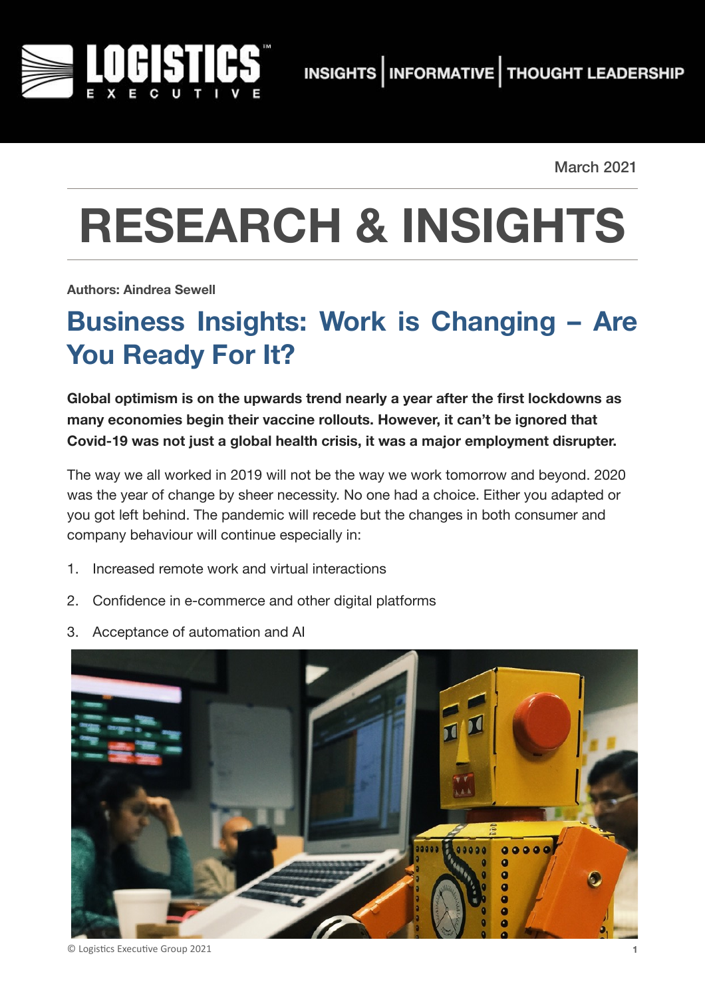

March 2021

# **RESEARCH & INSIGHTS**

**Authors: Aindrea Sewell**

# **Business Insights: Work is Changing – Are You Ready For It?**

**Global optimism is on the upwards trend nearly a year after the first lockdowns as many economies begin their vaccine rollouts. However, it can't be ignored that Covid-19 was not just a global health crisis, it was a major employment disrupter.** 

The way we all worked in 2019 will not be the way we work tomorrow and beyond. 2020 was the year of change by sheer necessity. No one had a choice. Either you adapted or you got left behind. The pandemic will recede but the changes in both consumer and company behaviour will continue especially in:

- 1. Increased remote work and virtual interactions
- 2. Confidence in e-commerce and other digital platforms
- 3. Acceptance of automation and AI



© Logistics Executive Group 2021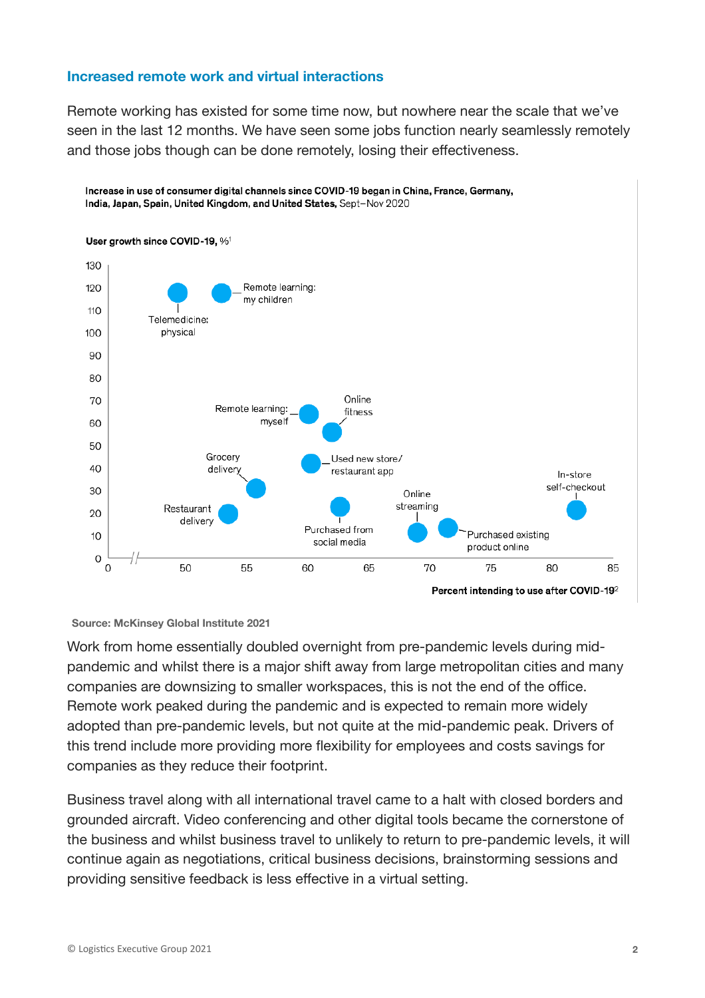#### **Increased remote work and virtual interactions**

Remote working has existed for some time now, but nowhere near the scale that we've seen in the last 12 months. We have seen some jobs function nearly seamlessly remotely and those jobs though can be done remotely, losing their effectiveness.



#### **Source: McKinsey Global Institute 2021**

Work from home essentially doubled overnight from pre-pandemic levels during midpandemic and whilst there is a major shift away from large metropolitan cities and many companies are downsizing to smaller workspaces, this is not the end of the office. Remote work peaked during the pandemic and is expected to remain more widely adopted than pre-pandemic levels, but not quite at the mid-pandemic peak. Drivers of this trend include more providing more flexibility for employees and costs savings for companies as they reduce their footprint.

Business travel along with all international travel came to a halt with closed borders and grounded aircraft. Video conferencing and other digital tools became the cornerstone of the business and whilst business travel to unlikely to return to pre-pandemic levels, it will continue again as negotiations, critical business decisions, brainstorming sessions and providing sensitive feedback is less effective in a virtual setting.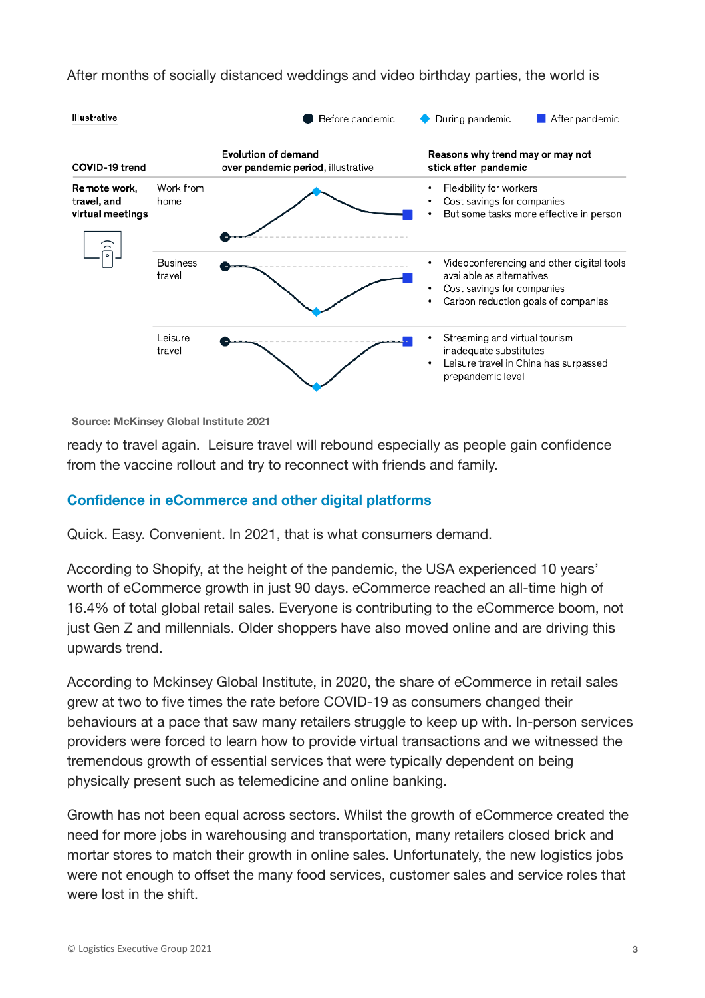After months of socially distanced weddings and video birthday parties, the world is



**Source: McKinsey Global Institute 2021**

ready to travel again. Leisure travel will rebound especially as people gain confidence from the vaccine rollout and try to reconnect with friends and family.

### **Confidence in eCommerce and other digital platforms**

Quick. Easy. Convenient. In 2021, that is what consumers demand.

According to Shopify, at the height of the pandemic, the USA experienced 10 years' worth of eCommerce growth in just 90 days. eCommerce reached an all-time high of 16.4% of total global retail sales. Everyone is contributing to the eCommerce boom, not just Gen Z and millennials. Older shoppers have also moved online and are driving this upwards trend.

According to Mckinsey Global Institute, in 2020, the share of eCommerce in retail sales grew at two to five times the rate before COVID‐19 as consumers changed their behaviours at a pace that saw many retailers struggle to keep up with. In-person services providers were forced to learn how to provide virtual transactions and we witnessed the tremendous growth of essential services that were typically dependent on being physically present such as telemedicine and online banking.

Growth has not been equal across sectors. Whilst the growth of eCommerce created the need for more jobs in warehousing and transportation, many retailers closed brick and mortar stores to match their growth in online sales. Unfortunately, the new logistics jobs were not enough to offset the many food services, customer sales and service roles that were lost in the shift.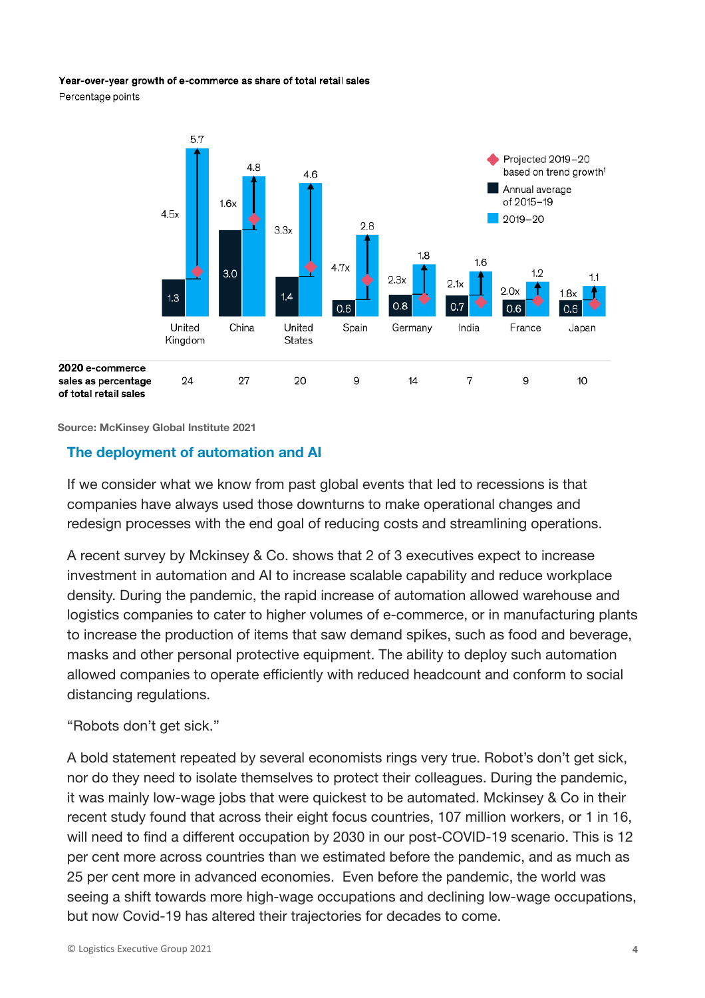#### Year-over-year growth of e-commerce as share of total retail sales

Percentage points



**Source: McKinsey Global Institute 2021**

#### **The deployment of automation and AI**

If we consider what we know from past global events that led to recessions is that companies have always used those downturns to make operational changes and redesign processes with the end goal of reducing costs and streamlining operations.

A recent survey by Mckinsey & Co. shows that 2 of 3 executives expect to increase investment in automation and AI to increase scalable capability and reduce workplace density. During the pandemic, the rapid increase of automation allowed warehouse and logistics companies to cater to higher volumes of e-commerce, or in manufacturing plants to increase the production of items that saw demand spikes, such as food and beverage, masks and other personal protective equipment. The ability to deploy such automation allowed companies to operate efficiently with reduced headcount and conform to social distancing regulations.

#### "Robots don't get sick."

A bold statement repeated by several economists rings very true. Robot's don't get sick, nor do they need to isolate themselves to protect their colleagues. During the pandemic, it was mainly low-wage jobs that were quickest to be automated. Mckinsey & Co in their recent study found that across their eight focus countries, 107 million workers, or 1 in 16, will need to find a different occupation by 2030 in our post-COVID-19 scenario. This is 12 per cent more across countries than we estimated before the pandemic, and as much as 25 per cent more in advanced economies. Even before the pandemic, the world was seeing a shift towards more high-wage occupations and declining low-wage occupations, but now Covid-19 has altered their trajectories for decades to come.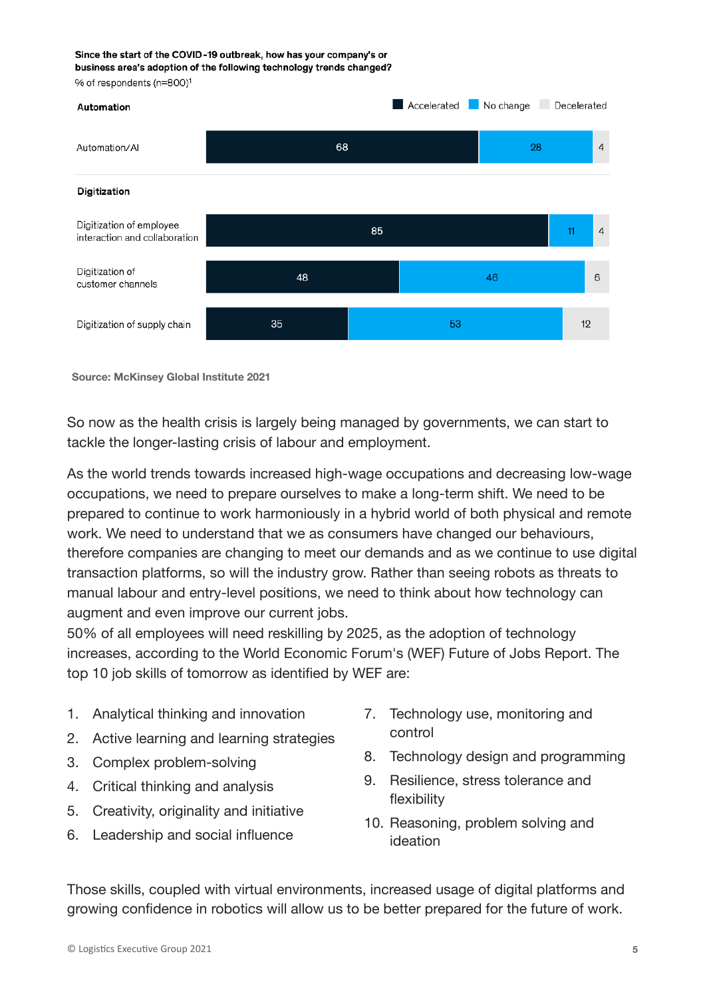#### Since the start of the COVID-19 outbreak, how has your company's or business area's adoption of the following technology trends changed?

% of respondents (n=800)<sup>1</sup>



**Source: McKinsey Global Institute 2021**

So now as the health crisis is largely being managed by governments, we can start to tackle the longer-lasting crisis of labour and employment.

As the world trends towards increased high-wage occupations and decreasing low-wage occupations, we need to prepare ourselves to make a long-term shift. We need to be prepared to continue to work harmoniously in a hybrid world of both physical and remote work. We need to understand that we as consumers have changed our behaviours, therefore companies are changing to meet our demands and as we continue to use digital transaction platforms, so will the industry grow. Rather than seeing robots as threats to manual labour and entry-level positions, we need to think about how technology can augment and even improve our current jobs.

50% of all employees will need reskilling by 2025, as the adoption of technology increases, according to the World Economic Forum's (WEF) Future of Jobs Report. The top 10 job skills of tomorrow as identified by WEF are:

- 1. Analytical thinking and innovation
- 2. Active learning and learning strategies
- 3. Complex problem-solving
- 4. Critical thinking and analysis
- 5. Creativity, originality and initiative
- 6. Leadership and social influence
- 7. Technology use, monitoring and control
- 8. Technology design and programming
- 9. Resilience, stress tolerance and flexibility
- 10. Reasoning, problem solving and ideation

Those skills, coupled with virtual environments, increased usage of digital platforms and growing confidence in robotics will allow us to be better prepared for the future of work.